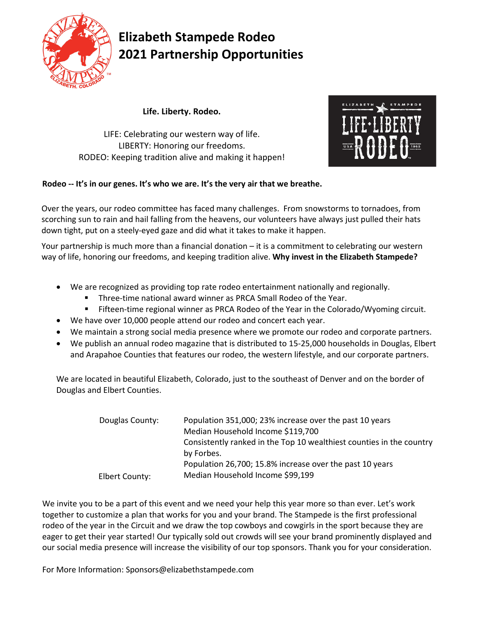

## **Elizabeth Stampede Rodeo 2021 Partnership Opportunities**

**Life. Liberty. Rodeo.**

LIFE: Celebrating our western way of life. LIBERTY: Honoring our freedoms. RODEO: Keeping tradition alive and making it happen!



#### **Rodeo -- It's in our genes. It's who we are. It's the very air that we breathe.**

Over the years, our rodeo committee has faced many challenges. From snowstorms to tornadoes, from scorching sun to rain and hail falling from the heavens, our volunteers have always just pulled their hats down tight, put on a steely-eyed gaze and did what it takes to make it happen.

Your partnership is much more than a financial donation – it is a commitment to celebrating our western way of life, honoring our freedoms, and keeping tradition alive. **Why invest in the Elizabeth Stampede?** 

- We are recognized as providing top rate rodeo entertainment nationally and regionally.
	- Three-time national award winner as PRCA Small Rodeo of the Year.
	- Fifteen-time regional winner as PRCA Rodeo of the Year in the Colorado/Wyoming circuit.
- We have over 10,000 people attend our rodeo and concert each year.
- We maintain a strong social media presence where we promote our rodeo and corporate partners.
- We publish an annual rodeo magazine that is distributed to 15-25,000 households in Douglas, Elbert and Arapahoe Counties that features our rodeo, the western lifestyle, and our corporate partners.

We are located in beautiful Elizabeth, Colorado, just to the southeast of Denver and on the border of Douglas and Elbert Counties.

| Douglas County:<br>Elbert County: | Population 351,000; 23% increase over the past 10 years<br>Median Household Income \$119,700 |
|-----------------------------------|----------------------------------------------------------------------------------------------|
|                                   | Consistently ranked in the Top 10 wealthiest counties in the country<br>by Forbes.           |
|                                   | Population 26,700; 15.8% increase over the past 10 years<br>Median Household Income \$99,199 |

We invite you to be a part of this event and we need your help this year more so than ever. Let's work together to customize a plan that works for you and your brand. The Stampede is the first professional rodeo of the year in the Circuit and we draw the top cowboys and cowgirls in the sport because they are eager to get their year started! Our typically sold out crowds will see your brand prominently displayed and our social media presence will increase the visibility of our top sponsors. Thank you for your consideration.

For More Information: Sponsors@elizabethstampede.com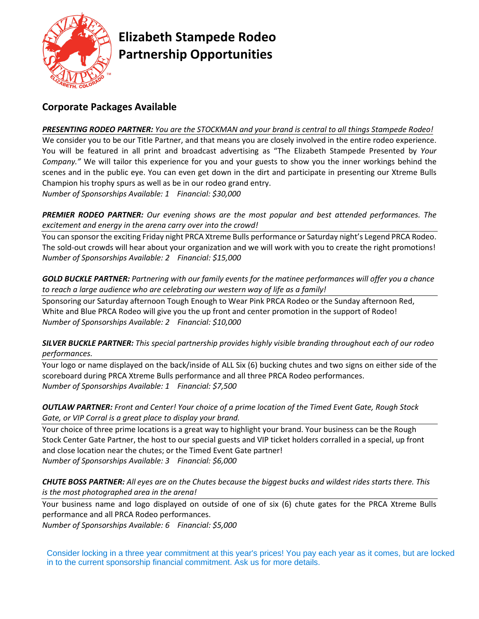

### **Elizabeth Stampede Rodeo Partnership Opportunities**

### **Corporate Packages Available**

*PRESENTING RODEO PARTNER: You are the STOCKMAN and your brand is central to all things Stampede Rodeo!*  We consider you to be our Title Partner, and that means you are closely involved in the entire rodeo experience. You will be featured in all print and broadcast advertising as "The Elizabeth Stampede Presented by *Your Company."* We will tailor this experience for you and your guests to show you the inner workings behind the scenes and in the public eye. You can even get down in the dirt and participate in presenting our Xtreme Bulls Champion his trophy spurs as well as be in our rodeo grand entry. *Number of Sponsorships Available: 1 Financial: \$30,000* 

*PREMIER RODEO PARTNER: Our evening shows are the most popular and best attended performances. The excitement and energy in the arena carry over into the crowd!*

You can sponsor the exciting Friday night PRCA Xtreme Bulls performance or Saturday night's Legend PRCA Rodeo. The sold-out crowds will hear about your organization and we will work with you to create the right promotions! *Number of Sponsorships Available: 2 Financial: \$15,000* 

*GOLD BUCKLE PARTNER: Partnering with our family events for the matinee performances will offer you a chance to reach a large audience who are celebrating our western way of life as a family!*

Sponsoring our Saturday afternoon Tough Enough to Wear Pink PRCA Rodeo or the Sunday afternoon Red, White and Blue PRCA Rodeo will give you the up front and center promotion in the support of Rodeo! *Number of Sponsorships Available: 2 Financial: \$10,000*

#### *SILVER BUCKLE PARTNER: This special partnership provides highly visible branding throughout each of our rodeo performances.*

Your logo or name displayed on the back/inside of ALL Six (6) bucking chutes and two signs on either side of the scoreboard during PRCA Xtreme Bulls performance and all three PRCA Rodeo performances. *Number of Sponsorships Available: 1 Financial: \$7,500*

*OUTLAW PARTNER: Front and Center! Your choice of a prime location of the Timed Event Gate, Rough Stock Gate, or VIP Corral is a great place to display your brand.* 

Your choice of three prime locations is a great way to highlight your brand. Your business can be the Rough Stock Center Gate Partner, the host to our special guests and VIP ticket holders corralled in a special, up front and close location near the chutes; or the Timed Event Gate partner! *Number of Sponsorships Available: 3 Financial: \$6,000*

*CHUTE BOSS PARTNER: All eyes are on the Chutes because the biggest bucks and wildest rides starts there. This is the most photographed area in the arena!*

Your business name and logo displayed on outside of one of six (6) chute gates for the PRCA Xtreme Bulls performance and all PRCA Rodeo performances. *Number of Sponsorships Available: 6 Financial: \$5,000*

Consider locking in a three year commitment at this year's prices! You pay each year as it comes, but are locked in to the current sponsorship financial commitment. Ask us for more details.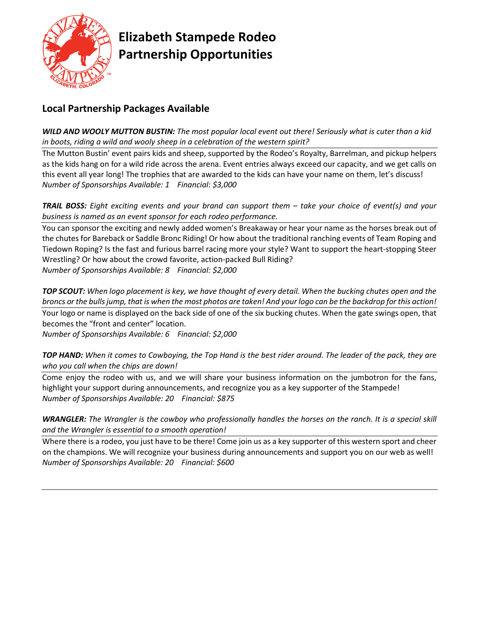

## **Elizabeth Stampede Rodeo Partnership Opportunities**

### **Local Partnership Packages Available**

*WILD AND WOOLY MUTTON BUSTIN: The most popular local event out there! Seriously what is cuter than a kid in boots, riding a wild and wooly sheep in a celebration of the western spirit?*

The Mutton Bustin' event pairs kids and sheep, supported by the Rodeo's Royalty, Barrelman, and pickup helpers as the kids hang on for a wild ride across the arena. Event entries always exceed our capacity, and we get calls on this event all year long! The trophies that are awarded to the kids can have your name on them, let's discuss! *Number of Sponsorships Available: 1 Financial: \$3,000* 

*TRAIL BOSS: Eight exciting events and your brand can support them – take your choice of event(s) and your business is named as an event sponsor for each rodeo performance.* 

You can sponsor the exciting and newly added women's Breakaway or hear your name as the horses break out of the chutes for Bareback or Saddle Bronc Riding! Or how about the traditional ranching events of Team Roping and Tiedown Roping? Is the fast and furious barrel racing more your style? Want to support the heart-stopping Steer Wrestling? Or how about the crowd favorite, action-packed Bull Riding? *Number of Sponsorships Available: 8 Financial: \$2,000* 

*TOP SCOUT: When logo placement is key, we have thought of every detail. When the bucking chutes open and the broncs or the bulls jump, that is when the most photos are taken! And your logo can be the backdrop for this action!*

Your logo or name is displayed on the back side of one of the six bucking chutes. When the gate swings open, that becomes the "front and center" location.

*Number of Sponsorships Available: 6 Financial: \$2,000* 

*TOP HAND: When it comes to Cowboying, the Top Hand is the best rider around. The leader of the pack, they are who you call when the chips are down!* 

Come enjoy the rodeo with us, and we will share your business information on the jumbotron for the fans, highlight your support during announcements, and recognize you as a key supporter of the Stampede! *Number of Sponsorships Available: 20 Financial: \$875* 

*WRANGLER: The Wrangler is the cowboy who professionally handles the horses on the ranch. It is a special skill and the Wrangler is essential to a smooth operation!* 

Where there is a rodeo, you just have to be there! Come join us as a key supporter of this western sport and cheer on the champions. We will recognize your business during announcements and support you on our web as well! *Number of Sponsorships Available: 20 Financial: \$600*